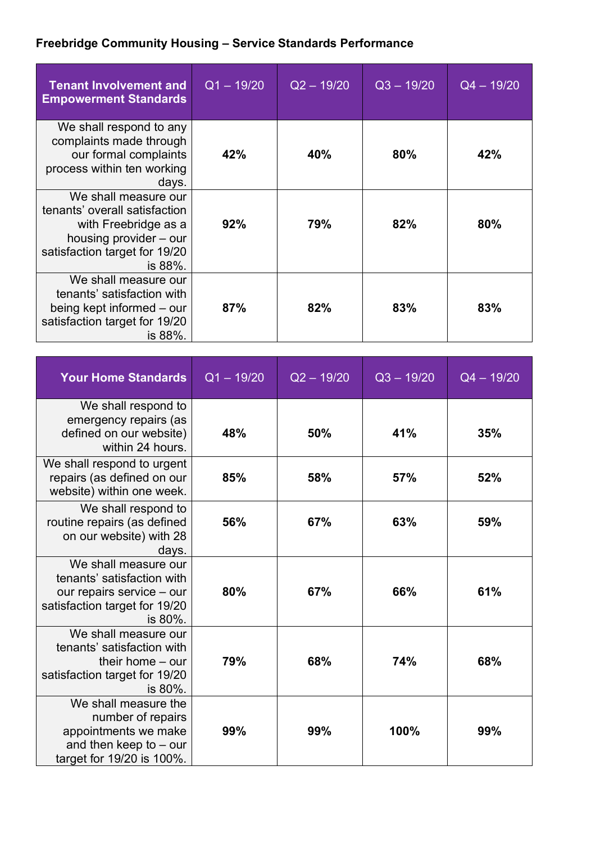## **Freebridge Community Housing – Service Standards Performance**

| <b>Tenant Involvement and</b><br><b>Empowerment Standards</b>                                                                                       | $Q1 - 19/20$ | $Q2 - 19/20$ | $Q3 - 19/20$ | $Q4 - 19/20$ |
|-----------------------------------------------------------------------------------------------------------------------------------------------------|--------------|--------------|--------------|--------------|
| We shall respond to any<br>complaints made through<br>our formal complaints<br>process within ten working<br>days.                                  | 42%          | 40%          | 80%          | 42%          |
| We shall measure our<br>tenants' overall satisfaction<br>with Freebridge as a<br>housing provider – our<br>satisfaction target for 19/20<br>is 88%. | 92%          | 79%          | 82%          | 80%          |
| We shall measure our<br>tenants' satisfaction with<br>being kept informed – our<br>satisfaction target for 19/20<br>is 88%.                         | 87%          | 82%          | 83%          | 83%          |

| <b>Your Home Standards</b>                                                                                                  | $Q1 - 19/20$ | $Q2 - 19/20$ | $Q3 - 19/20$ | $Q4 - 19/20$ |
|-----------------------------------------------------------------------------------------------------------------------------|--------------|--------------|--------------|--------------|
| We shall respond to<br>emergency repairs (as<br>defined on our website)<br>within 24 hours.                                 | 48%          | 50%          | 41%          | 35%          |
| We shall respond to urgent<br>repairs (as defined on our<br>website) within one week.                                       | 85%          | 58%          | 57%          | 52%          |
| We shall respond to<br>routine repairs (as defined<br>on our website) with 28<br>days.                                      | 56%          | 67%          | 63%          | 59%          |
| We shall measure our<br>tenants' satisfaction with<br>our repairs service - our<br>satisfaction target for 19/20<br>is 80%. | 80%          | 67%          | 66%          | 61%          |
| We shall measure our<br>tenants' satisfaction with<br>their home $-$ our<br>satisfaction target for 19/20<br>is 80%.        | 79%          | 68%          | 74%          | 68%          |
| We shall measure the<br>number of repairs<br>appointments we make<br>and then keep to $-$ our<br>target for 19/20 is 100%.  | 99%          | 99%          | 100%         | 99%          |